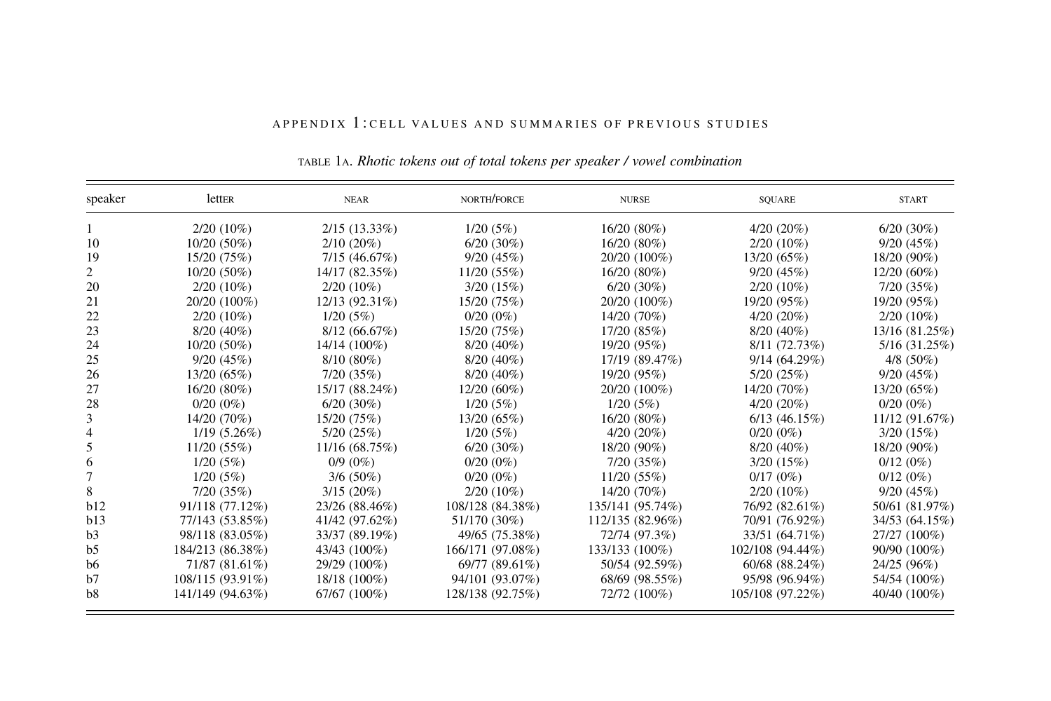| speaker        | letter           | <b>NEAR</b>     | NORTH/FORCE      | <b>NURSE</b>     | SOUARE           | <b>START</b>   |
|----------------|------------------|-----------------|------------------|------------------|------------------|----------------|
|                | $2/20(10\%)$     | $2/15(13.33\%)$ | 1/20(5%)         | $16/20(80\%)$    | $4/20(20\%)$     | $6/20(30\%)$   |
| 10             | $10/20(50\%)$    | $2/10(20\%)$    | $6/20(30\%)$     | $16/20(80\%)$    | $2/20(10\%)$     | 9/20(45%)      |
| 19             | 15/20 (75%)      | 7/15(46.67%)    | 9/20(45%)        | 20/20 (100%)     | 13/20 (65%)      | 18/20 (90%)    |
| 2              | 10/20 (50%)      | 14/17 (82.35%)  | 11/20(55%)       | $16/20(80\%)$    | 9/20(45%)        | $12/20(60\%)$  |
| 20             | $2/20(10\%)$     | $2/20(10\%)$    | 3/20(15%)        | $6/20(30\%)$     | $2/20(10\%)$     | 7/20(35%)      |
| 21             | 20/20 (100%)     | 12/13 (92.31%)  | 15/20 (75%)      | 20/20 (100%)     | 19/20 (95%)      | 19/20 (95%)    |
| 22             | $2/20(10\%)$     | 1/20(5%)        | $0/20(0\%)$      | 14/20 (70%)      | $4/20(20\%)$     | $2/20(10\%)$   |
| 23             | $8/20(40\%)$     | 8/12(66.67%)    | 15/20(75%)       | 17/20 (85%)      | $8/20(40\%)$     | 13/16 (81.25%) |
| 24             | $10/20(50\%)$    | 14/14 (100%)    | $8/20(40\%)$     | 19/20 (95%)      | 8/11(72.73%)     | 5/16 (31.25%)  |
| 25             | 9/20(45%)        | $8/10(80\%)$    | $8/20(40\%)$     | 17/19 (89.47%)   | 9/14(64.29%)     | $4/8$ (50%)    |
| 26             | 13/20 (65%)      | 7/20(35%)       | $8/20(40\%)$     | 19/20 (95%)      | 5/20(25%)        | 9/20(45%)      |
| 27             | 16/20 (80%)      | 15/17 (88.24%)  | $12/20(60\%)$    | 20/20 (100%)     | 14/20 (70%)      | 13/20(65%)     |
| 28             | $0/20(0\%)$      | $6/20(30\%)$    | 1/20(5%)         | 1/20(5%)         | $4/20(20\%)$     | $0/20(0\%)$    |
| 3              | 14/20 (70%)      | 15/20 (75%)     | 13/20(65%)       | $16/20(80\%)$    | $6/13$ (46.15%)  | 11/12 (91.67%) |
| 4              | $1/19(5.26\%)$   | 5/20(25%)       | 1/20(5%)         | $4/20(20\%)$     | $0/20(0\%)$      | 3/20(15%)      |
| 5              | 11/20(55%)       | 11/16 (68.75%)  | $6/20(30\%)$     | 18/20 (90%)      | $8/20(40\%)$     | 18/20 (90%)    |
| 6              | 1/20(5%)         | $0/9(0\%)$      | $0/20(0\%)$      | 7/20(35%)        | 3/20(15%)        | $0/12(0\%)$    |
| 7              | 1/20(5%)         | $3/6(50\%)$     | $0/20(0\%)$      | 11/20(55%)       | $0/17(0\%)$      | $0/12(0\%)$    |
| 8              | 7/20(35%)        | $3/15(20\%)$    | $2/20(10\%)$     | 14/20 (70%)      | $2/20(10\%)$     | 9/20(45%)      |
| b12            | 91/118 (77.12%)  | 23/26 (88.46%)  | 108/128 (84.38%) | 135/141 (95.74%) | 76/92 (82.61%)   | 50/61 (81.97%) |
| b13            | 77/143 (53.85%)  | 41/42 (97.62%)  | 51/170 (30%)     | 112/135 (82.96%) | 70/91 (76.92%)   | 34/53 (64.15%) |
| b <sub>3</sub> | 98/118 (83.05%)  | 33/37 (89.19%)  | 49/65 (75.38%)   | 72/74 (97.3%)    | 33/51 (64.71%)   | 27/27 (100%)   |
| b <sub>5</sub> | 184/213 (86.38%) | 43/43 (100%)    | 166/171 (97.08%) | 133/133 (100%)   | 102/108 (94.44%) | 90/90 (100%)   |
| b <sub>6</sub> | 71/87 (81.61%)   | 29/29 (100%)    | 69/77 (89.61%)   | 50/54 (92.59%)   | 60/68 (88.24%)   | 24/25 (96%)    |
| h7             | 108/115 (93.91%) | 18/18 (100%)    | 94/101 (93.07%)  | 68/69 (98.55%)   | 95/98 (96.94%)   | 54/54 (100%)   |
| b <sub>8</sub> | 141/149 (94.63%) | 67/67 (100%)    | 128/138 (92.75%) | 72/72 (100%)     | 105/108 (97.22%) | 40/40 (100%)   |

#### APPENDIX 1 : CELL VALUES AND SUMMAR IES OF PREV IOUS STUD IES

TABLE 1A. Rhotic tokens out of total tokens per speaker / vowel combination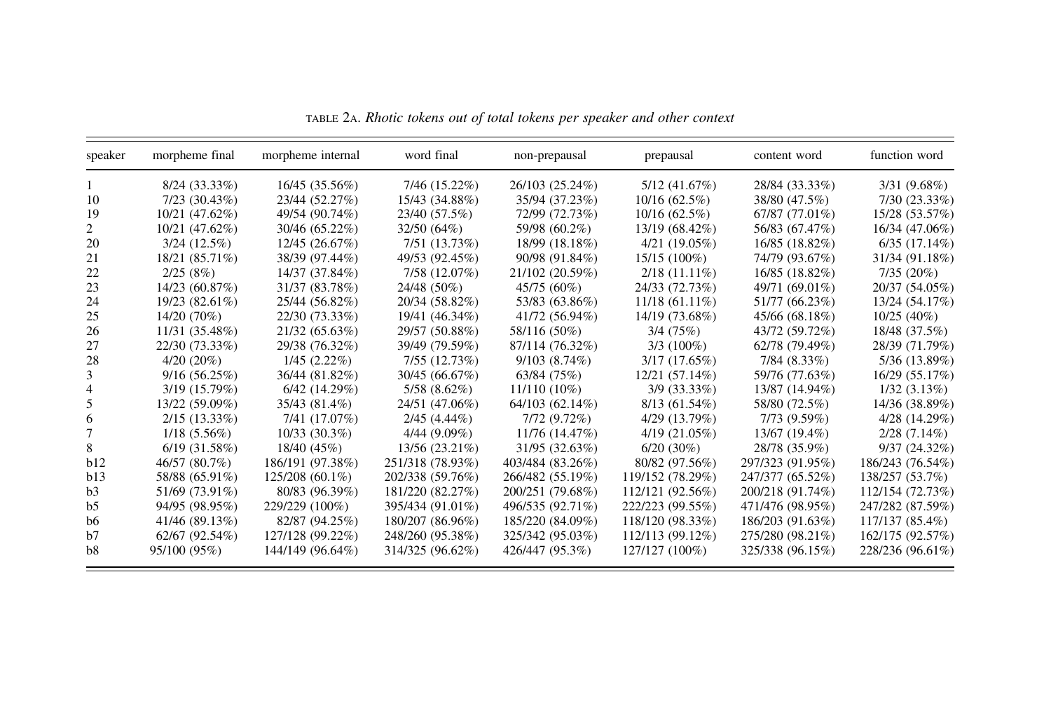| speaker | morpheme final    | morpheme internal | word final       | non-prepausal    | prepausal        | content word     | function word      |
|---------|-------------------|-------------------|------------------|------------------|------------------|------------------|--------------------|
|         | $8/24(33.33\%)$   | 16/45 (35.56%)    | 7/46 (15.22%)    | 26/103 (25.24%)  | 5/12(41.67%)     | 28/84 (33.33%)   | 3/31 (9.68%)       |
| 10      | 7/23 (30.43%)     | 23/44 (52.27%)    | 15/43 (34.88%)   | 35/94 (37.23%)   | 10/16(62.5%)     | 38/80 (47.5%)    | 7/30(23.33%)       |
| 19      | 10/21 (47.62%)    | 49/54 (90.74%)    | 23/40 (57.5%)    | 72/99 (72.73%)   | $10/16(62.5\%)$  | 67/87 (77.01%)   | 15/28 (53.57%)     |
|         | 10/21 (47.62%)    | 30/46 (65.22%)    | 32/50 (64%)      | 59/98 (60.2%)    | 13/19 (68.42%)   | 56/83 (67.47%)   | 16/34 (47.06%)     |
| 20      | 3/24(12.5%)       | 12/45 (26.67%)    | 7/51 (13.73%)    | 18/99 (18.18%)   | 4/21(19.05%)     | 16/85 (18.82%)   | 6/35(17.14%)       |
| 21      | 18/21 (85.71%)    | 38/39 (97.44%)    | 49/53 (92.45%)   | 90/98 (91.84%)   | $15/15(100\%)$   | 74/79 (93.67%)   | 31/34 (91.18%)     |
| 22      | 2/25(8%)          | 14/37 (37.84%)    | 7/58 (12.07%)    | 21/102 (20.59%)  | $2/18(11.11\%)$  | 16/85 (18.82%)   | 7/35(20%)          |
| 23      | 14/23 (60.87%)    | 31/37 (83.78%)    | 24/48 (50%)      | 45/75 (60%)      | 24/33 (72.73%)   | 49/71 (69.01%)   | 20/37 (54.05%)     |
| 24      | 19/23 (82.61%)    | 25/44 (56.82%)    | 20/34 (58.82%)   | 53/83 (63.86%)   | $11/18(61.11\%)$ | 51/77 (66.23%)   | 13/24 (54.17%)     |
| 25      | 14/20 (70%)       | 22/30 (73.33%)    | 19/41 (46.34%)   | 41/72 (56.94%)   | 14/19 (73.68%)   | 45/66 (68.18%)   | $10/25(40\%)$      |
| 26      | 11/31 (35.48%)    | 21/32 (65.63%)    | 29/57 (50.88%)   | 58/116 (50%)     | 3/4(75%)         | 43/72 (59.72%)   | 18/48 (37.5%)      |
| 27      | 22/30 (73.33%)    | 29/38 (76.32%)    | 39/49 (79.59%)   | 87/114 (76.32%)  | $3/3(100\%)$     | 62/78(79.49%)    | 28/39 (71.79%)     |
| 28      | $4/20(20\%)$      | $1/45(2.22\%)$    | 7/55 (12.73%)    | 9/103(8.74%)     | $3/17(17.65\%)$  | 7/84 (8.33%)     | 5/36 (13.89%)      |
|         | 9/16(56.25%)      | 36/44 (81.82%)    | 30/45 (66.67%)   | 63/84(75%)       | 12/21 (57.14%)   | 59/76 (77.63%)   | 16/29 (55.17%)     |
|         | 3/19 (15.79%)     | 6/42(14.29%)      | 5/58 (8.62%)     | $11/110(10\%)$   | 3/9 (33.33%)     | 13/87 (14.94%)   | $1/32(3.13\%)$     |
|         | 13/22 (59.09%)    | 35/43 (81.4%)     | 24/51 (47.06%)   | 64/103 (62.14%)  | 8/13(61.54%)     | 58/80 (72.5%)    | 14/36 (38.89%)     |
| 6       | $2/15(13.33\%)$   | 7/41 (17.07%)     | $2/45(4.44\%)$   | 7/72(9.72%)      | 4/29 (13.79%)    | $7/73(9.59\%)$   | $4/28$ $(14.29\%)$ |
|         | $1/18(5.56\%)$    | $10/33(30.3\%)$   | $4/44(9.09\%)$   | 11/76 (14.47%)   | 4/19(21.05%)     | 13/67 (19.4%)    | $2/28(7.14\%)$     |
| 8.      | $6/19$ $(31.58%)$ | 18/40 (45%)       | 13/56 (23.21%)   | 31/95 (32.63%)   | $6/20(30\%)$     | 28/78 (35.9%)    | 9/37(24.32%)       |
| b12     | 46/57 (80.7%)     | 186/191 (97.38%)  | 251/318 (78.93%) | 403/484 (83.26%) | 80/82 (97.56%)   | 297/323 (91.95%) | 186/243 (76.54%)   |
| b13     | 58/88 (65.91%)    | 125/208 (60.1%)   | 202/338 (59.76%) | 266/482 (55.19%) | 119/152 (78.29%) | 247/377 (65.52%) | 138/257 (53.7%)    |
| b3      | 51/69 (73.91%)    | 80/83 (96.39%)    | 181/220 (82.27%) | 200/251 (79.68%) | 112/121 (92.56%) | 200/218 (91.74%) | 112/154 (72.73%)   |
| b5      | 94/95 (98.95%)    | 229/229 (100%)    | 395/434 (91.01%) | 496/535 (92.71%) | 222/223 (99.55%) | 471/476 (98.95%) | 247/282 (87.59%)   |
| b6      | 41/46 (89.13%)    | 82/87 (94.25%)    | 180/207 (86.96%) | 185/220 (84.09%) | 118/120 (98.33%) | 186/203 (91.63%) | 117/137 (85.4%)    |
| b7      | 62/67 (92.54%)    | 127/128 (99.22%)  | 248/260 (95.38%) | 325/342 (95.03%) | 112/113 (99.12%) | 275/280 (98.21%) | 162/175 (92.57%)   |
| b8      | 95/100 (95%)      | 144/149 (96.64%)  | 314/325 (96.62%) | 426/447 (95.3%)  | 127/127 (100%)   | 325/338 (96.15%) | 228/236 (96.61%)   |

TABLE 2A. Rhotic tokens out of total tokens per speaker and other context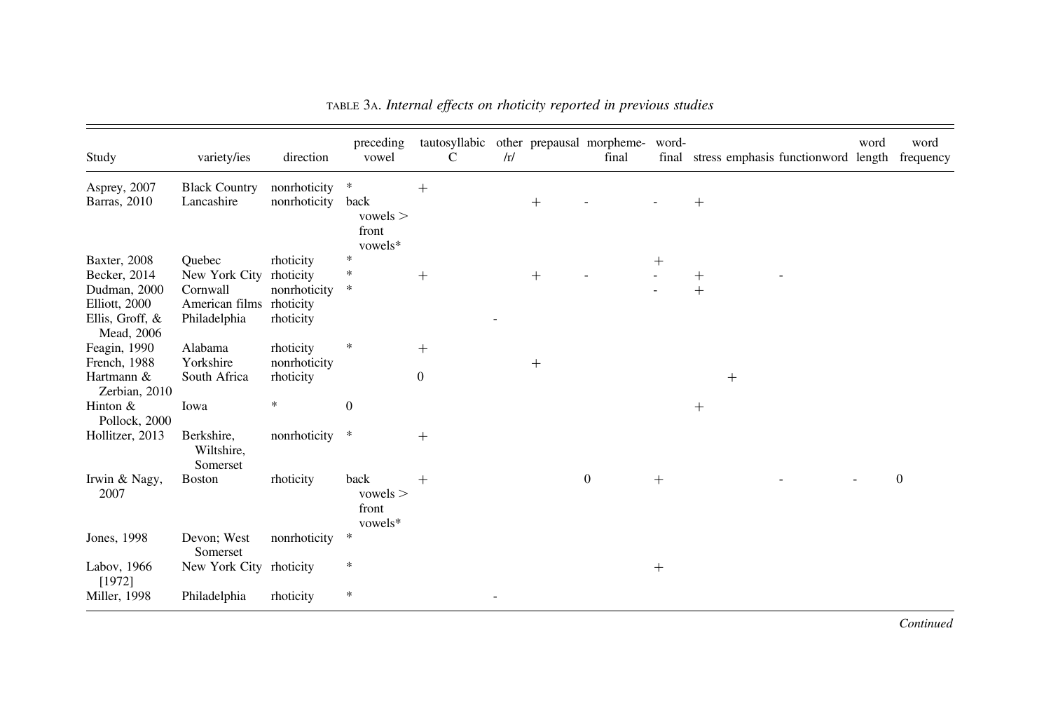| Study                                                                                          | variety/ies                                                           | direction                                                        | preceding<br>vowel                           | tautosyllabic<br>C  | /r/ |        | other prepausal morpheme-<br>final | word-<br>final | stress emphasis functionword length | word | word<br>frequency |
|------------------------------------------------------------------------------------------------|-----------------------------------------------------------------------|------------------------------------------------------------------|----------------------------------------------|---------------------|-----|--------|------------------------------------|----------------|-------------------------------------|------|-------------------|
| Asprey, 2007<br>Barras, 2010                                                                   | <b>Black Country</b><br>Lancashire                                    | nonrhoticity<br>nonrhoticity                                     | $\ast$<br>back<br>vowels<br>front<br>vowels* | $^{+}$              |     | $+$    |                                    |                | $^{+}$                              |      |                   |
| Baxter, 2008<br>Becker, 2014<br>Dudman, 2000<br>Elliott, 2000<br>Ellis, Groff, &<br>Mead, 2006 | Ouebec<br>New York City<br>Cornwall<br>American films<br>Philadelphia | rhoticity<br>rhoticity<br>nonrhoticity<br>rhoticity<br>rhoticity | $\frac{1}{2}$<br>*<br>*                      | $^{+}$              |     |        |                                    | $+$            | $^+$<br>$+$                         |      |                   |
| Feagin, 1990<br>French, 1988<br>Hartmann &<br>Zerbian, 2010                                    | Alabama<br>Yorkshire<br>South Africa                                  | rhoticity<br>nonrhoticity<br>rhoticity                           | *                                            | $+$<br>$\mathbf{0}$ |     | $^{+}$ |                                    |                | $^{+}$                              |      |                   |
| Hinton $&$<br>Pollock, 2000                                                                    | Iowa                                                                  | $\ast$                                                           | $\overline{0}$                               |                     |     |        |                                    |                | $^{+}$                              |      |                   |
| Hollitzer, 2013                                                                                | Berkshire,<br>Wiltshire,<br>Somerset                                  | nonrhoticity *                                                   |                                              | $^{+}$              |     |        |                                    |                |                                     |      |                   |
| Irwin & Nagy,<br>2007                                                                          | <b>Boston</b>                                                         | rhoticity                                                        | back<br>vowels<br>front<br>vowels*           | $^{+}$              |     |        | $\mathbf{0}$                       | $+$            |                                     |      | $\Omega$          |
| Jones, 1998                                                                                    | Devon; West<br>Somerset                                               | nonrhoticity                                                     | $\ast$                                       |                     |     |        |                                    |                |                                     |      |                   |
| Labov, 1966<br>[1972]                                                                          | New York City rhoticity                                               |                                                                  | $\ast$                                       |                     |     |        |                                    | $^{+}$         |                                     |      |                   |
| Miller, 1998                                                                                   | Philadelphia                                                          | rhoticity                                                        | $\ast$                                       |                     |     |        |                                    |                |                                     |      |                   |

TABLE 3A. Internal effects on rhoticity reported in previous studies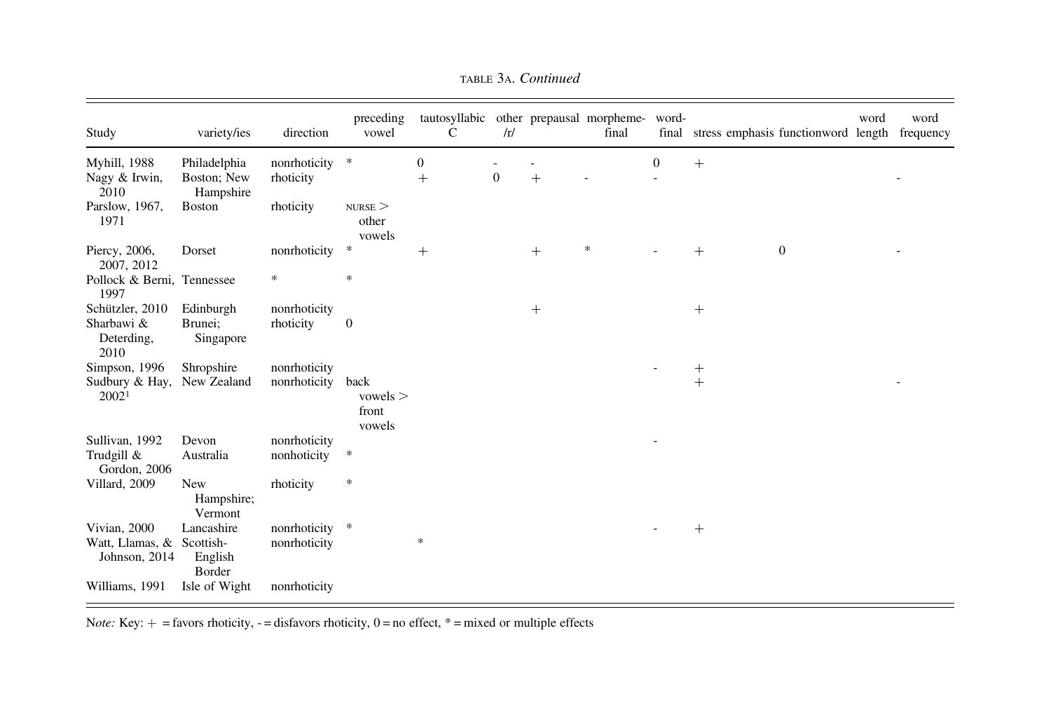| Study                                                | variety/ies                                  | direction                      | preceding<br>vowel                | tautosyllabic<br>C     | /r/          |        | other prepausal morpheme-<br>final | word-<br>final | stress emphasis functionword length |              | word | word<br>frequency |
|------------------------------------------------------|----------------------------------------------|--------------------------------|-----------------------------------|------------------------|--------------|--------|------------------------------------|----------------|-------------------------------------|--------------|------|-------------------|
| <b>Myhill</b> , 1988<br>Nagy & Irwin,<br>2010        | Philadelphia<br>Boston; New<br>Hampshire     | nonrhoticity *<br>rhoticity    |                                   | $\mathbf{0}$<br>$^{+}$ | $\mathbf{0}$ | $+$    |                                    | $\mathbf{0}$   | $+$                                 |              |      |                   |
| Parslow, 1967,<br>1971                               | <b>Boston</b>                                | rhoticity                      | $NURSE$ $>$<br>other<br>vowels    |                        |              |        |                                    |                |                                     |              |      |                   |
| Piercy, 2006,<br>2007, 2012                          | Dorset                                       | nonrhoticity                   | $\ast$                            | $^{+}$                 |              | $^{+}$ | *                                  |                | $^{+}$                              | $\mathbf{0}$ |      |                   |
| Pollock & Berni, Tennessee<br>1997                   |                                              | $\ast$                         | $\frac{1}{2}$                     |                        |              |        |                                    |                |                                     |              |      |                   |
| Schützler, 2010<br>Sharbawi &<br>Deterding,<br>2010  | Edinburgh<br>Brunei;<br>Singapore            | nonrhoticity<br>rhoticity      | $\overline{0}$                    |                        |              | $^{+}$ |                                    |                | $^{+}$                              |              |      |                   |
| Simpson, 1996<br>Sudbury & Hay,<br>2002 <sup>1</sup> | Shropshire<br>New Zealand                    | nonrhoticity<br>nonrhoticity   | back<br>vowels<br>front<br>vowels |                        |              |        |                                    |                | $^{+}$<br>$+$                       |              |      |                   |
| Sullivan, 1992<br>Trudgill &<br>Gordon, 2006         | Devon<br>Australia                           | nonrhoticity<br>nonhoticity    | $\ast$                            |                        |              |        |                                    |                |                                     |              |      |                   |
| Villard, 2009                                        | <b>New</b><br>Hampshire;<br>Vermont          | rhoticity                      | $\ast$                            |                        |              |        |                                    |                |                                     |              |      |                   |
| Vivian, 2000<br>Watt, Llamas, &<br>Johnson, 2014     | Lancashire<br>Scottish-<br>English<br>Border | nonrhoticity *<br>nonrhoticity |                                   | $\ast$                 |              |        |                                    |                | $^{+}$                              |              |      |                   |
| Williams, 1991                                       | Isle of Wight                                | nonrhoticity                   |                                   |                        |              |        |                                    |                |                                     |              |      |                   |

тавье За. *Continued* 

Note: Key:  $+$  = favors rhoticity,  $-$  = disfavors rhoticity,  $0 =$  no effect,  $*$  = mixed or multiple effects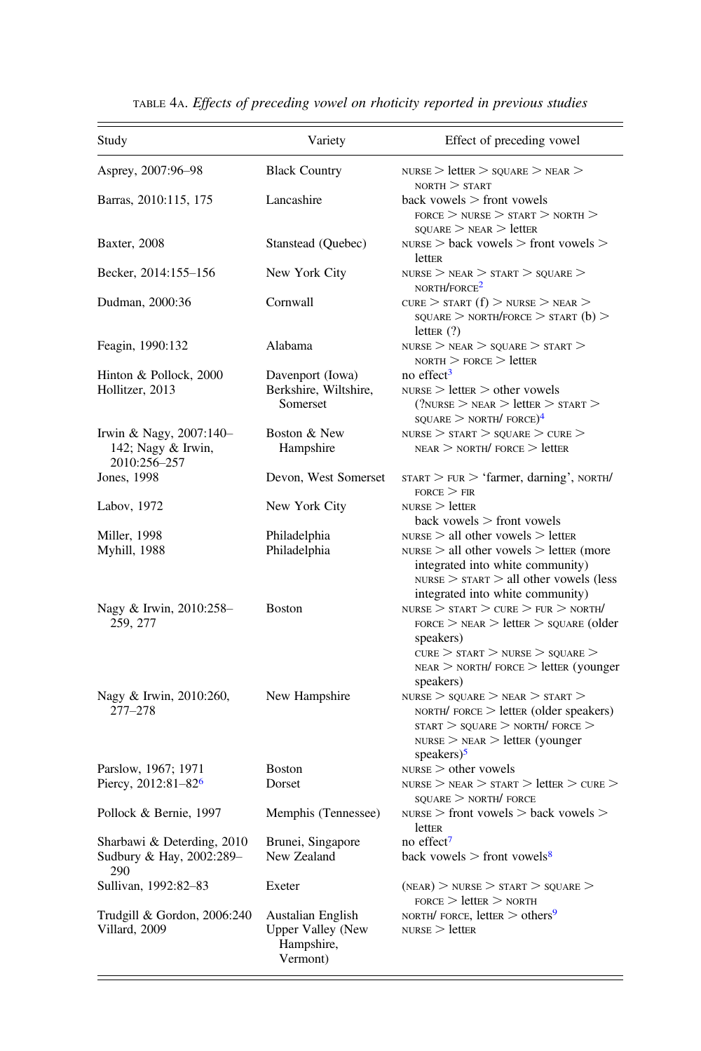| Study                                                         | Variety                                                                 | Effect of preceding vowel                                                                                                                                                                                  |
|---------------------------------------------------------------|-------------------------------------------------------------------------|------------------------------------------------------------------------------------------------------------------------------------------------------------------------------------------------------------|
| Asprey, 2007:96–98                                            | <b>Black Country</b>                                                    | $NURSE >$ letter $>$ square $>$ near $>$<br>NORTH > START                                                                                                                                                  |
| Barras, 2010:115, 175                                         | Lancashire                                                              | $back$ vowels $>$ front vowels<br>$FORCE$ > NURSE > START > NORTH ><br>$s$ ouare $>$ near $>$ letter                                                                                                       |
| Baxter, 2008                                                  | Stanstead (Quebec)                                                      | $NURSE$ > back vowels > front vowels ><br>letter                                                                                                                                                           |
| Becker, 2014:155–156                                          | New York City                                                           | $NURSE$ > $NEAR$ > $START$ > $SQUARE$ ><br>NORTH/FORCE <sup>2</sup>                                                                                                                                        |
| Dudman, 2000:36                                               | Cornwall                                                                | CURE $>$ START (f) $>$ NURSE $>$ NEAR $>$<br>$s$ quare $>$ north/force $>$ start (b) $>$<br>letter $(?)$                                                                                                   |
| Feagin, 1990:132                                              | Alabama                                                                 | $NURSE$ > $NEAR$ > $SOUARE$ > $START$ ><br>$norm >$ FORCE $>$ letter                                                                                                                                       |
| Hinton & Pollock, 2000                                        | Davenport (Iowa)                                                        | no effect <sup>3</sup>                                                                                                                                                                                     |
| Hollitzer, 2013                                               | Berkshire, Wiltshire,<br>Somerset                                       | $NURSE$ > letter > other vowels<br>$\gamma$ <sub>NURSE</sub> $>$ near $>$ letter $>$ start $>$<br>$\text{SQUARE}$ > $\text{NORTH}/\text{FORE}$ <sup>4</sup>                                                |
| Irwin & Nagy, 2007:140-                                       | Boston & New                                                            | $NURSE$ > $START$ > $SOUARE$ > $CURE$ >                                                                                                                                                                    |
| 142; Nagy & Irwin,<br>2010:256-257                            | Hampshire                                                               | $NEAR$ > $NORTH/$ FORCE > letter                                                                                                                                                                           |
| Jones, 1998                                                   | Devon, West Somerset                                                    | $srART > FUR > 'farmer, damping', NOTH/$<br>$FORCE \geq FIR$                                                                                                                                               |
| Labov, 1972                                                   | New York City                                                           | $NURSE$ > letter<br>$back$ vowels $>$ front vowels                                                                                                                                                         |
| Miller, 1998<br>Myhill, 1988                                  | Philadelphia<br>Philadelphia                                            | $NURSE$ > all other vowels > letter<br>$NURSE$ > all other vowels > letter (more<br>integrated into white community)<br>$NURSE$ > $START$ > all other vowels (less<br>integrated into white community)     |
| Nagy & Irwin, 2010:258-<br>259, 277                           | <b>Boston</b>                                                           | $NURSE$ > $START$ > $CURE$ > $FUR$ > $NORTH$ /<br>$r$ orce $>$ near $>$ letter $>$ square (older<br>speakers)<br>CURE > START > NURSE > SQUARE ><br>$NEAR$ > $NORTH/$ FORCE > letter (younger<br>speakers) |
| Nagy & Irwin, 2010:260,<br>$277 - 278$                        | New Hampshire                                                           | $NURSE$ > $SQUARE$ > $NEAR$ > $START$ ><br>$NORTH/$ FORCE $>$ letter (older speakers)<br>$START > SQUARE > NORTH/$ FORCE ><br>$NURSE$ > $NEAR$ > letter (younger<br>speakers $)^5$                         |
| Parslow, 1967; 1971<br>Piercy, $2012:81-82$ <sup>6</sup>      | <b>Boston</b><br>Dorset                                                 | $NURSE$ > other vowels<br>$NURSE$ > $NEAR$ > $START$ > $letter$ > $CURE$ >                                                                                                                                 |
| Pollock & Bernie, 1997                                        | Memphis (Tennessee)                                                     | $\text{SOLIARE}$ $>$ north/ force<br>$NURSE$ > front vowels > back vowels ><br>letter                                                                                                                      |
| Sharbawi & Deterding, 2010<br>Sudbury & Hay, 2002:289-<br>290 | Brunei, Singapore<br>New Zealand                                        | no effect <sup>7</sup><br>back vowels $>$ front vowels <sup>8</sup>                                                                                                                                        |
| Sullivan, 1992:82-83                                          | Exeter                                                                  | $(NEAR)$ > NURSE > START > SQUARE ><br>$_{\rm FORCE}$ $>$ letter $>$ north                                                                                                                                 |
| Trudgill & Gordon, 2006:240<br>Villard, 2009                  | Austalian English<br><b>Upper Valley (New</b><br>Hampshire,<br>Vermont) | NORTH/ FORCE, letter $>$ others <sup>9</sup><br>$NURSE$ > letter                                                                                                                                           |

TABLE 4A. Effects of preceding vowel on rhoticity reported in previous studies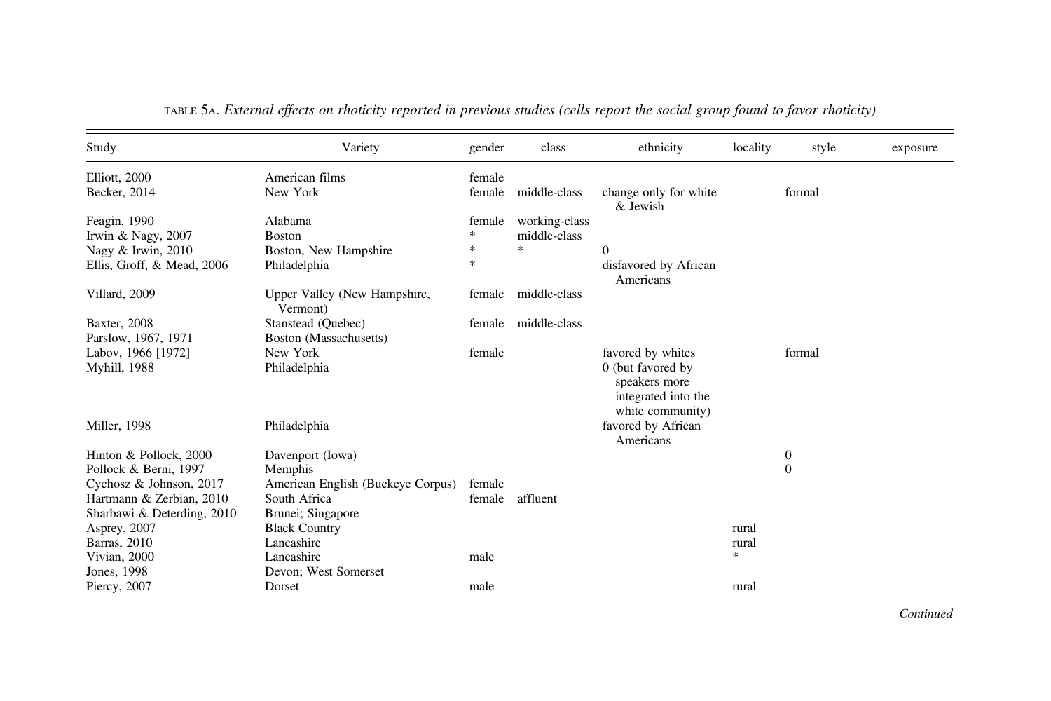| Study                                               | Variety                                           | gender           | class         | ethnicity                                                                     | locality | style            | exposure |
|-----------------------------------------------------|---------------------------------------------------|------------------|---------------|-------------------------------------------------------------------------------|----------|------------------|----------|
| Elliott, 2000<br>Becker, 2014                       | American films<br>New York                        | female<br>female | middle-class  | change only for white<br>& Jewish                                             |          | formal           |          |
| Feagin, 1990                                        | Alabama                                           | female           | working-class |                                                                               |          |                  |          |
| Irwin & Nagy, 2007                                  | <b>Boston</b>                                     | *                | middle-class  |                                                                               |          |                  |          |
| Nagy & Irwin, 2010                                  | Boston, New Hampshire                             | $\frac{1}{2}$    | sk.           | $\theta$                                                                      |          |                  |          |
| Ellis, Groff, & Mead, 2006                          | Philadelphia                                      | $\frac{1}{2}$    |               | disfavored by African<br>Americans                                            |          |                  |          |
| Villard, 2009                                       | Upper Valley (New Hampshire,<br>Vermont)          | female           | middle-class  |                                                                               |          |                  |          |
| <b>Baxter</b> , 2008                                | Stanstead (Quebec)                                | female           | middle-class  |                                                                               |          |                  |          |
| Parslow, 1967, 1971                                 | Boston (Massachusetts)                            |                  |               |                                                                               |          |                  |          |
| Labov, 1966 [1972]                                  | New York                                          | female           |               | favored by whites                                                             |          | formal           |          |
| Myhill, 1988                                        | Philadelphia                                      |                  |               | 0 (but favored by<br>speakers more<br>integrated into the<br>white community) |          |                  |          |
| Miller, 1998                                        | Philadelphia                                      |                  |               | favored by African<br>Americans                                               |          |                  |          |
| Hinton & Pollock, 2000                              | Davenport (Iowa)                                  |                  |               |                                                                               |          | $\boldsymbol{0}$ |          |
| Pollock & Berni, 1997                               | Memphis                                           |                  |               |                                                                               |          | $\mathbf{0}$     |          |
| Cychosz & Johnson, 2017<br>Hartmann & Zerbian, 2010 | American English (Buckeye Corpus)<br>South Africa | female<br>female | affluent      |                                                                               |          |                  |          |
| Sharbawi & Deterding, 2010                          | Brunei; Singapore<br><b>Black Country</b>         |                  |               |                                                                               | rural    |                  |          |
| Asprey, 2007<br>Barras, 2010                        | Lancashire                                        |                  |               |                                                                               | rural    |                  |          |
| Vivian, 2000                                        | Lancashire                                        | male             |               |                                                                               | $\ast$   |                  |          |
| Jones, 1998                                         | Devon; West Somerset                              |                  |               |                                                                               |          |                  |          |
| Piercy, 2007                                        | Dorset                                            | male             |               |                                                                               | rural    |                  |          |

| TABLE 5A. External effects on rhoticity reported in previous studies (cells report the social group found to favor rhoticity) |  |  |  |
|-------------------------------------------------------------------------------------------------------------------------------|--|--|--|
|                                                                                                                               |  |  |  |

Continued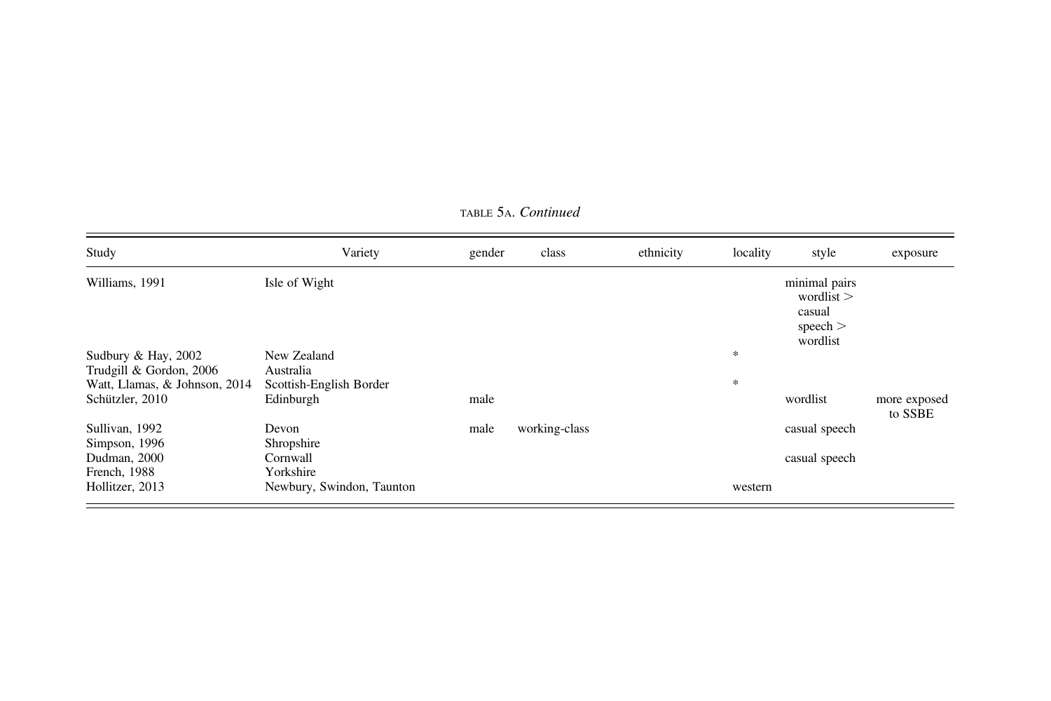| Study                         | Variety                   | gender | class         | ethnicity | locality | style                                                             | exposure                |
|-------------------------------|---------------------------|--------|---------------|-----------|----------|-------------------------------------------------------------------|-------------------------|
| Williams, 1991                | Isle of Wight             |        |               |           |          | minimal pairs<br>wordlist $>$<br>casual<br>speech $>$<br>wordlist |                         |
| Sudbury & Hay, 2002           | New Zealand               |        |               |           | $\ast$   |                                                                   |                         |
| Trudgill & Gordon, 2006       | Australia                 |        |               |           |          |                                                                   |                         |
| Watt, Llamas, & Johnson, 2014 | Scottish-English Border   |        |               |           | $\ast$   |                                                                   |                         |
| Schützler, 2010               | Edinburgh                 | male   |               |           |          | wordlist                                                          | more exposed<br>to SSBE |
| Sullivan, 1992                | Devon                     | male   | working-class |           |          | casual speech                                                     |                         |
| Simpson, 1996                 | Shropshire                |        |               |           |          |                                                                   |                         |
| Dudman, 2000                  | Cornwall                  |        |               |           |          | casual speech                                                     |                         |
| French, 1988                  | Yorkshire                 |        |               |           |          |                                                                   |                         |
| Hollitzer, 2013               | Newbury, Swindon, Taunton |        |               |           | western  |                                                                   |                         |

тавье 5a. *Continued*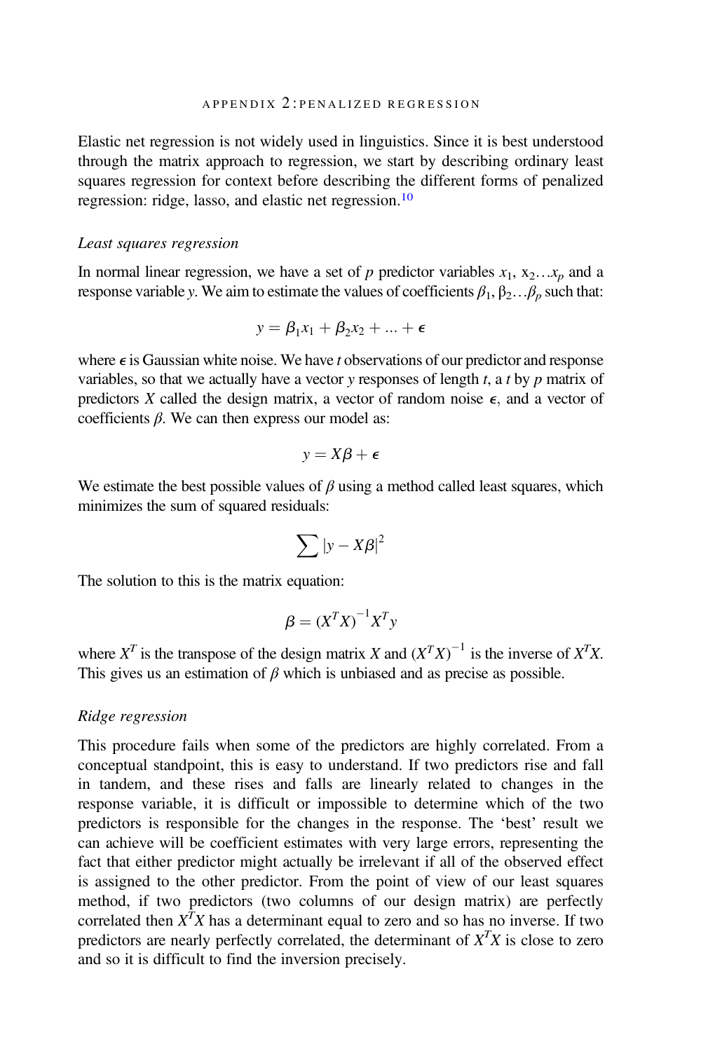Elastic net regression is not widely used in linguistics. Since it is best understood through the matrix approach to regression, we start by describing ordinary least squares regression for context before describing the different forms of penalized regression: ridge, lasso, and elastic net regression.[10](#page-10-0)

### Least squares regression

In normal linear regression, we have a set of p predictor variables  $x_1, x_2...x_p$  and a response variable y. We aim to estimate the values of coefficients  $\beta_1, \beta_2, \beta_n$  such that:

$$
y = \beta_1 x_1 + \beta_2 x_2 + \ldots + \epsilon
$$

where  $\epsilon$  is Gaussian white noise. We have t observations of our predictor and response variables, so that we actually have a vector  $y$  responses of length  $t$ , a  $t$  by  $p$  matrix of predictors X called the design matrix, a vector of random noise  $\epsilon$ , and a vector of coefficients  $β$ . We can then express our model as:

$$
y = X\beta + \epsilon
$$

We estimate the best possible values of  $\beta$  using a method called least squares, which minimizes the sum of squared residuals:

$$
\sum |y - X\beta|^2
$$

The solution to this is the matrix equation:

$$
\beta = (X^T X)^{-1} X^T y
$$

where  $X^T$  is the transpose of the design matrix X and  $(X^T X)^{-1}$  is the inverse of  $X^T X$ . This gives us an estimation of  $\beta$  which is unbiased and as precise as possible.

# Ridge regression

This procedure fails when some of the predictors are highly correlated. From a conceptual standpoint, this is easy to understand. If two predictors rise and fall in tandem, and these rises and falls are linearly related to changes in the response variable, it is difficult or impossible to determine which of the two predictors is responsible for the changes in the response. The 'best' result we can achieve will be coefficient estimates with very large errors, representing the fact that either predictor might actually be irrelevant if all of the observed effect is assigned to the other predictor. From the point of view of our least squares method, if two predictors (two columns of our design matrix) are perfectly correlated then  $X^T X$  has a determinant equal to zero and so has no inverse. If two predictors are nearly perfectly correlated, the determinant of  $X<sup>T</sup>X$  is close to zero and so it is difficult to find the inversion precisely.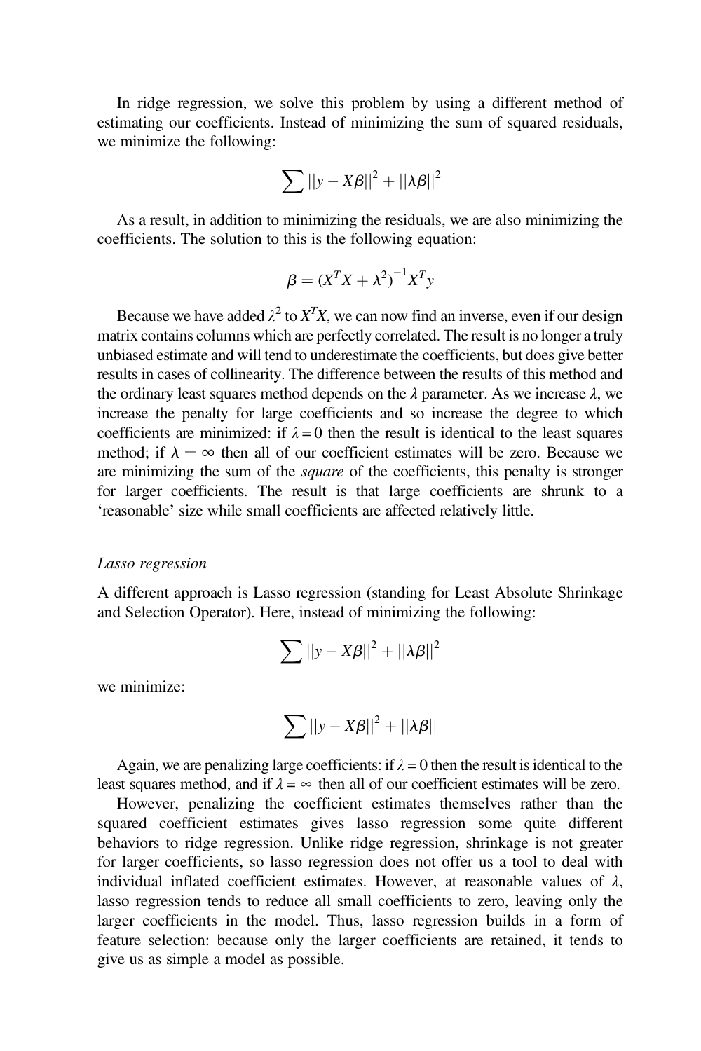In ridge regression, we solve this problem by using a different method of estimating our coefficients. Instead of minimizing the sum of squared residuals, we minimize the following:

$$
\sum ||y - X\beta||^2 + ||\lambda \beta||^2
$$

As a result, in addition to minimizing the residuals, we are also minimizing the coefficients. The solution to this is the following equation:

$$
\beta = (X^T X + \lambda^2)^{-1} X^T y
$$

Because we have added  $\lambda^2$  to  $X^T X$ , we can now find an inverse, even if our design matrix contains columns which are perfectly correlated. The result is no longer a truly unbiased estimate and will tend to underestimate the coefficients, but does give better results in cases of collinearity. The difference between the results of this method and the ordinary least squares method depends on the  $\lambda$  parameter. As we increase  $\lambda$ , we increase the penalty for large coefficients and so increase the degree to which coefficients are minimized: if  $\lambda = 0$  then the result is identical to the least squares method; if  $\lambda = \infty$  then all of our coefficient estimates will be zero. Because we are minimizing the sum of the *square* of the coefficients, this penalty is stronger for larger coefficients. The result is that large coefficients are shrunk to a 'reasonable' size while small coefficients are affected relatively little.

#### Lasso regression

A different approach is Lasso regression (standing for Least Absolute Shrinkage and Selection Operator). Here, instead of minimizing the following:

$$
\sum ||y - X\beta||^2 + ||\lambda \beta||^2
$$

we minimize:

$$
\sum ||y - X\beta||^2 + ||\lambda \beta||
$$

Again, we are penalizing large coefficients: if  $\lambda = 0$  then the result is identical to the least squares method, and if  $\lambda = \infty$  then all of our coefficient estimates will be zero.

However, penalizing the coefficient estimates themselves rather than the squared coefficient estimates gives lasso regression some quite different behaviors to ridge regression. Unlike ridge regression, shrinkage is not greater for larger coefficients, so lasso regression does not offer us a tool to deal with individual inflated coefficient estimates. However, at reasonable values of  $\lambda$ , lasso regression tends to reduce all small coefficients to zero, leaving only the larger coefficients in the model. Thus, lasso regression builds in a form of feature selection: because only the larger coefficients are retained, it tends to give us as simple a model as possible.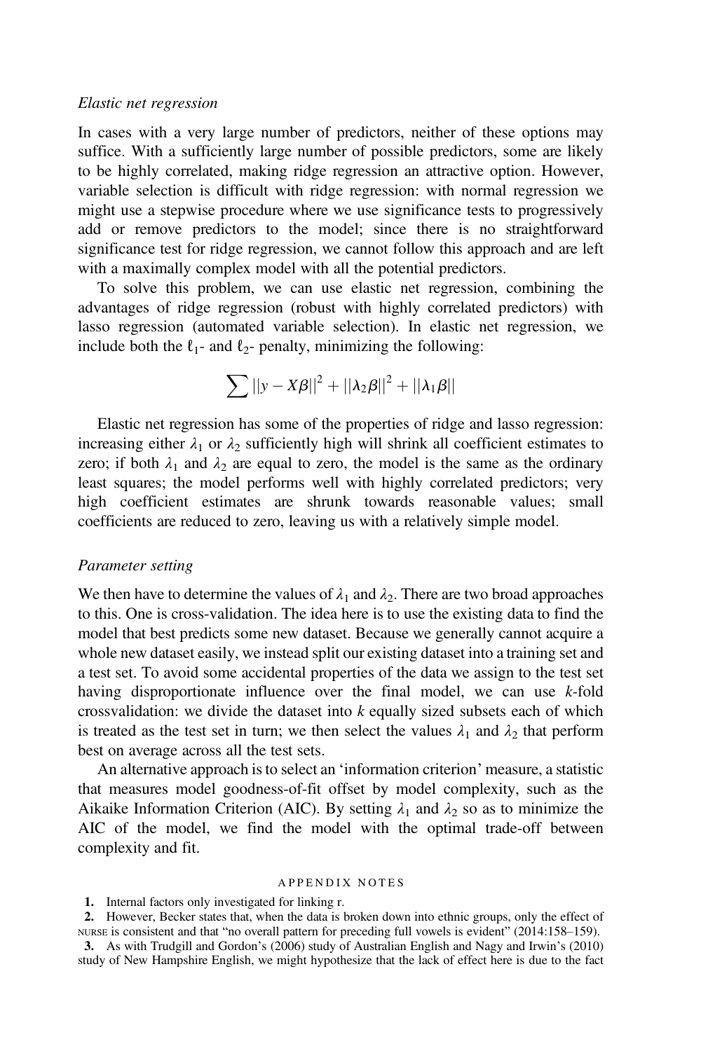## <span id="page-9-0"></span>Elastic net regression

In cases with a very large number of predictors, neither of these options may suffice. With a sufficiently large number of possible predictors, some are likely to be highly correlated, making ridge regression an attractive option. However, variable selection is difficult with ridge regression: with normal regression we might use a stepwise procedure where we use significance tests to progressively add or remove predictors to the model; since there is no straightforward significance test for ridge regression, we cannot follow this approach and are left with a maximally complex model with all the potential predictors.

To solve this problem, we can use elastic net regression, combining the advantages of ridge regression (robust with highly correlated predictors) with lasso regression (automated variable selection). In elastic net regression, we include both the  $\ell_1$ - and  $\ell_2$ - penalty, minimizing the following:

$$
\sum ||y-X\beta||^2 + ||\lambda_2\beta||^2 + ||\lambda_1\beta||
$$

Elastic net regression has some of the properties of ridge and lasso regression: increasing either  $\lambda_1$  or  $\lambda_2$  sufficiently high will shrink all coefficient estimates to zero; if both  $\lambda_1$  and  $\lambda_2$  are equal to zero, the model is the same as the ordinary least squares; the model performs well with highly correlated predictors; very high coefficient estimates are shrunk towards reasonable values; small coefficients are reduced to zero, leaving us with a relatively simple model.

### Parameter setting

We then have to determine the values of  $\lambda_1$  and  $\lambda_2$ . There are two broad approaches to this. One is cross-validation. The idea here is to use the existing data to find the model that best predicts some new dataset. Because we generally cannot acquire a whole new dataset easily, we instead split our existing dataset into a training set and a test set. To avoid some accidental properties of the data we assign to the test set having disproportionate influence over the final model, we can use  $k$ -fold crossvalidation: we divide the dataset into  $k$  equally sized subsets each of which is treated as the test set in turn; we then select the values  $\lambda_1$  and  $\lambda_2$  that perform best on average across all the test sets.

An alternative approach is to select an 'information criterion' measure, a statistic that measures model goodness-of-fit offset by model complexity, such as the Aikaike Information Criterion (AIC). By setting  $\lambda_1$  and  $\lambda_2$  so as to minimize the AIC of the model, we find the model with the optimal trade-off between complexity and fit.

#### APPENDIX NOTES

1. Internal factors only investigated for linking r.

2. However, Becker states that, when the data is broken down into ethnic groups, only the effect of NURSE is consistent and that "no overall pattern for preceding full vowels is evident" (2014:158–159).

3. As with Trudgill and Gordon's (2006) study of Australian English and Nagy and Irwin's (2010) study of New Hampshire English, we might hypothesize that the lack of effect here is due to the fact